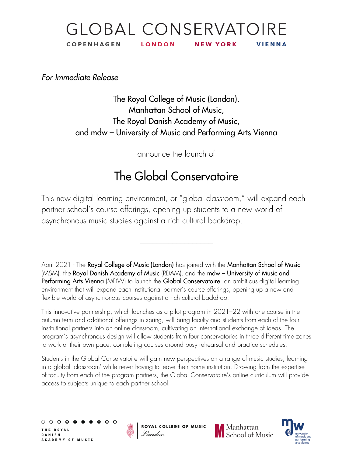#### **GLOBAL CONSERVATOIRE COPENHAGEN LONDON NEW YORK** VIENNA

*For Immediate Release*

The Royal College of Music (London), Manhattan School of Music, The Royal Danish Academy of Music, and mdw – University of Music and Performing Arts Vienna

announce the launch of

# The Global Conservatoire

This new digital learning environment, or "global classroom," will expand each partner school's course offerings, opening up students to a new world of asynchronous music studies against a rich cultural backdrop.

 $\_$ 

April 2021 - The **Royal College of Music (London)** has joined with the **Manhattan School of Music** (MSM), the Royal Danish Academy of Music (RDAM), and the mdw – University of Music and Performing Arts Vienna (MDW) to launch the Global Conservatoire, an ambitious digital learning environment that will expand each institutional partner's course offerings, opening up a new and flexible world of asynchronous courses against a rich cultural backdrop.

This innovative partnership, which launches as a pilot program in 2021–22 with one course in the autumn term and additional offerings in spring, will bring faculty and students from each of the four institutional partners into an online classroom, cultivating an international exchange of ideas. The program's asynchronous design will allow students from four conservatories in three different time zones to work at their own pace, completing courses around busy rehearsal and practice schedules.

Students in the Global Conservatoire will gain new perspectives on a range of music studies, learning in a global 'classroom' while never having to leave their home institution. Drawing from the expertise of faculty from each of the program partners, the Global Conservatoire's online curriculum will provide access to subjects unique to each partner school.

0000 THE ROYAL **DANISH** A C A D E M Y O F M U S I C



ROYAL COLLEGE OF MUSIC London



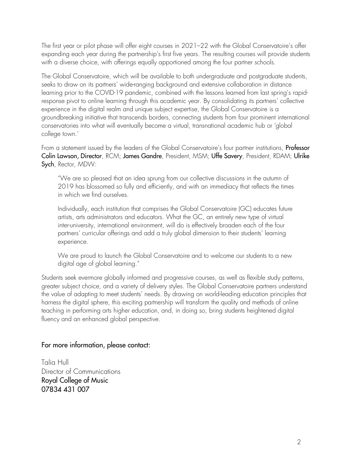The first year or pilot phase will offer eight courses in 2021–22 with the Global Conservatoire's offer expanding each year during the partnership's first five years. The resulting courses will provide students with a diverse choice, with offerings equally apportioned among the four partner schools.

The Global Conservatoire, which will be available to both undergraduate and postgraduate students, seeks to draw on its partners' wide-ranging background and extensive collaboration in distance learning prior to the COVID-19 pandemic, combined with the lessons learned from last spring's rapidresponse pivot to online learning through this academic year. By consolidating its partners' collective experience in the digital realm and unique subject expertise, the Global Conservatoire is a groundbreaking initiative that transcends borders, connecting students from four prominent international conservatories into what will eventually become a virtual, transnational academic hub or 'global college town.'

From a statement issued by the leaders of the Global Conservatoire's four partner institutions, Professor Colin Lawson, Director, RCM; James Gandre, President, MSM; Uffe Savery, President, RDAM; Ulrike Sych, Rector, MDW:

"We are so pleased that an idea sprung from our collective discussions in the autumn of 2019 has blossomed so fully and efficiently, and with an immediacy that reflects the times in which we find ourselves.

Individually, each institution that comprises the Global Conservatoire (GC) educates future artists, arts administrators and educators. What the GC, an entirely new type of virtual inter-university, international environment, will do is effectively broaden each of the four partners' curricular offerings and add a truly global dimension to their students' learning experience.

We are proud to launch the Global Conservatoire and to welcome our students to a new digital age of global learning."

Students seek evermore globally informed and progressive courses, as well as flexible study patterns, greater subject choice, and a variety of delivery styles. The Global Conservatoire partners understand the value of adapting to meet students' needs. By drawing on world-leading education principles that harness the digital sphere, this exciting partnership will transform the quality and methods of online teaching in performing arts higher education, and, in doing so, bring students heightened digital fluency and an enhanced global perspective.

#### For more information, please contact:

Talia Hull Director of Communications Royal College of Music 07834 431 007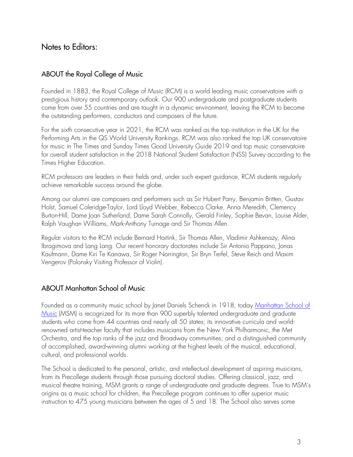# Notes to Editors:

#### ABOUT the Royal College of Music

Founded in 1883, the Royal College of Music (RCM) is a world leading music conservatoire with a prestigious history and contemporary outlook. Our 900 undergraduate and postgraduate students come from over 55 countries and are taught in a dynamic environment, leaving the RCM to become the outstanding performers, conductors and composers of the future.

For the sixth consecutive year in 2021, the RCM was ranked as the top institution in the UK for the Performing Arts in the QS World University Rankings. RCM was also ranked the top UK conservatoire for music in The Times and Sunday Times Good University Guide 2019 and top music conservatoire for overall student satisfaction in the 2018 National Student Satisfaction (NSS) Survey according to the Times Higher Education.

RCM professors are leaders in their fields and, under such expert guidance, RCM students regularly achieve remarkable success around the globe.

Among our alumni are composers and performers such as Sir Hubert Parry, Benjamin Britten, Gustav Holst, Samuel Coleridge-Taylor, Lord Lloyd Webber, Rebecca Clarke, Anna Meredith, Clemency Burton-Hill, Dame Joan Sutherland, Dame Sarah Connolly, Gerald Finley, Sophie Bevan, Louise Alder, Ralph Vaughan Williams, Mark-Anthony Turnage and Sir Thomas Allen.

Regular visitors to the RCM include Bernard Haitink, Sir Thomas Allen, Vladimir Ashkenazy, Alina Ibragimova and Lang Lang. Our recent honorary doctorates include Sir Antonio Pappano, Jonas Kaufmann, Dame Kiri Te Kanawa, Sir Roger Norrington, Sir Bryn Terfel, Steve Reich and Maxim Vengerov (Polonsky Visiting Professor of Violin).

#### ABOUT Manhattan School of Music

Founded as a community music school by Janet Daniels Schenck in 1918, today [Manhattan School of](https://www.msmnyc.edu/)  [Music](https://www.msmnyc.edu/) (MSM) is recognized for its more than 900 superbly talented undergraduate and graduate students who come from 44 countries and nearly all 50 states; its innovative curricula and worldrenowned artist-teacher faculty that includes musicians from the New York Philharmonic, the Met Orchestra, and the top ranks of the jazz and Broadway communities; and a distinguished community of accomplished, award-winning alumni working at the highest levels of the musical, educational, cultural, and professional worlds.

The School is dedicated to the personal, artistic, and intellectual development of aspiring musicians, from its Precollege students through those pursuing doctoral studies. Offering classical, jazz, and musical theatre training, MSM grants a range of undergraduate and graduate degrees. True to MSM's origins as a music school for children, the Precollege program continues to offer superior music instruction to 475 young musicians between the ages of 5 and 18. The School also serves some